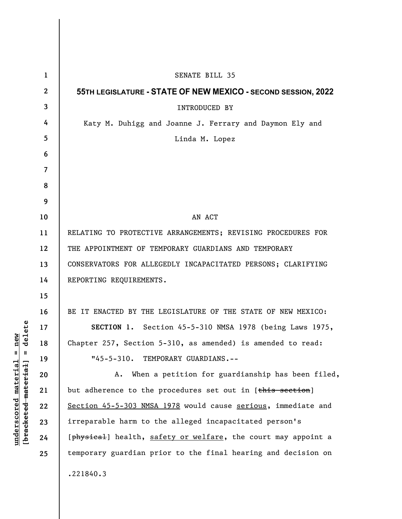| $\mathbf{1}$ | <b>SENATE BILL 35</b>                                         |
|--------------|---------------------------------------------------------------|
| $\mathbf{2}$ | 55TH LEGISLATURE - STATE OF NEW MEXICO - SECOND SESSION, 2022 |
| 3            | <b>INTRODUCED BY</b>                                          |
| 4            | Katy M. Duhigg and Joanne J. Ferrary and Daymon Ely and       |
| 5            | Linda M. Lopez                                                |
| 6            |                                                               |
| 7            |                                                               |
| 8            |                                                               |
| 9            |                                                               |
| 10           | AN ACT                                                        |
| 11           | RELATING TO PROTECTIVE ARRANGEMENTS; REVISING PROCEDURES FOR  |
| 12           | THE APPOINTMENT OF TEMPORARY GUARDIANS AND TEMPORARY          |
| 13           | CONSERVATORS FOR ALLEGEDLY INCAPACITATED PERSONS; CLARIFYING  |
| 14           | REPORTING REQUIREMENTS.                                       |
| 15           |                                                               |
| 16           | BE IT ENACTED BY THE LEGISLATURE OF THE STATE OF NEW MEXICO:  |
| 17           | SECTION 1. Section 45-5-310 NMSA 1978 (being Laws 1975,       |
| 18           | Chapter 257, Section 5-310, as amended) is amended to read:   |
| 19           | "45-5-310. TEMPORARY GUARDIANS.--                             |
| 20           | When a petition for guardianship has been filed,<br>Α.        |
| 21           | but adherence to the procedures set out in [this section]     |
| 22           | Section 45-5-303 NMSA 1978 would cause serious, immediate and |
| 23           | irreparable harm to the alleged incapacitated person's        |
| 24           | [physical] health, safety or welfare, the court may appoint a |
| 25           | temporary guardian prior to the final hearing and decision on |
|              | .221840.3                                                     |

 $[**bracket eted metert et**] = **del et e**$ **[bracketed material] = delete**  $underscored material = new$ **underscored material = new**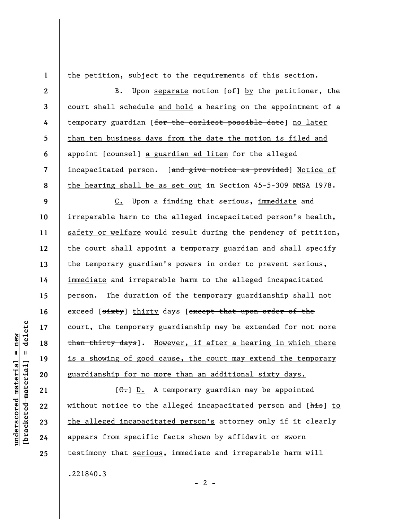**1 2** 

**3** 

**4** 

**5** 

**6** 

**7** 

**8** 

the petition, subject to the requirements of this section.

B. Upon separate motion  $[ $\theta$  +  $\theta$ ] by the *petitioner*, the$ court shall schedule and hold a hearing on the appointment of a temporary guardian [for the earliest possible date] no later than ten business days from the date the motion is filed and appoint [counsel] a guardian ad litem for the alleged incapacitated person. [and give notice as provided] Notice of the hearing shall be as set out in Section 45-5-309 NMSA 1978.

**9 10 11 12 13 14 15 16 17 18 19 20**  C. Upon a finding that serious, immediate and irreparable harm to the alleged incapacitated person's health, safety or welfare would result during the pendency of petition, the court shall appoint a temporary guardian and shall specify the temporary guardian's powers in order to prevent serious, immediate and irreparable harm to the alleged incapacitated person. The duration of the temporary guardianship shall not exceed [sixty] thirty days [except that upon order of the court, the temporary guardianship may be extended for not more than thirty days]. However, if after a hearing in which there is a showing of good cause, the court may extend the temporary guardianship for no more than an additional sixty days.

 $[G<sub>1</sub>]$   $D<sub>2</sub>$  A temporary guardian may be appointed without notice to the alleged incapacitated person and [his] to the alleged incapacitated person's attorney only if it clearly appears from specific facts shown by affidavit or sworn testimony that serious, immediate and irreparable harm will .221840.3

 $- 2 -$ 

**21** 

**22** 

**23** 

**24**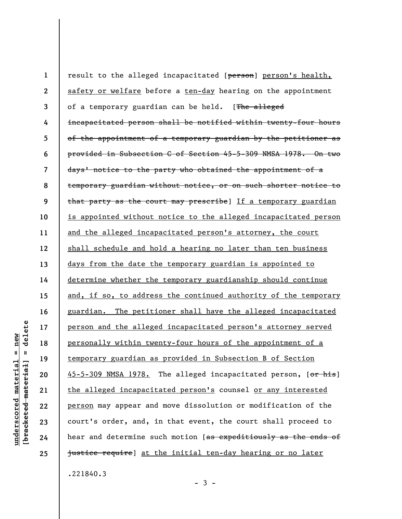| $\mathbf{1}$             | result to the alleged incapacitated [person] person's health,           |
|--------------------------|-------------------------------------------------------------------------|
| $\boldsymbol{2}$         | safety or welfare before a ten-day hearing on the appointment           |
| 3                        | of a temporary guardian can be held. [The alleged                       |
| 4                        | incapacitated person shall be notified within twenty-four hours         |
| 5                        | of the appointment of a temporary guardian by the petitioner as         |
| 6                        | provided in Subsection C of Section 45-5-309 NMSA 1978. On two          |
| $\overline{\mathcal{L}}$ | days' notice to the party who obtained the appointment of a             |
| 8                        | temporary guardian without notice, or on such shorter notice to         |
| 9                        | that party as the court may prescribe] If a temporary guardian          |
| 10                       | is appointed without notice to the alleged incapacitated person         |
| 11                       | and the alleged incapacitated person's attorney, the court              |
| 12                       | shall schedule and hold a hearing no later than ten business            |
| 13                       | days from the date the temporary guardian is appointed to               |
| 14                       | determine whether the temporary guardianship should continue            |
| 15                       | and, if so, to address the continued authority of the temporary         |
| 16                       | The petitioner shall have the alleged incapacitated<br><u>guardian.</u> |
| 17                       | person and the alleged incapacitated person's attorney served           |
| 18                       | personally within twenty-four hours of the appointment of a             |
| 19                       | temporary guardian as provided in Subsection B of Section               |
| 20                       | 45-5-309 NMSA 1978. The alleged incapacitated person, [or his]          |
| 21                       | the alleged incapacitated person's counsel or any interested            |
| 22                       | person may appear and move dissolution or modification of the           |
| 23                       | court's order, and, in that event, the court shall proceed to           |
| 24                       | hear and determine such motion [as expeditiously as the ends of         |
| 25                       | justice require) at the initial ten-day hearing or no later             |
|                          |                                                                         |

.221840.3

- 3 -

 $[$ bracketed material] = delete **[bracketed material] = delete**  $underscored material = new$ **underscored material = new**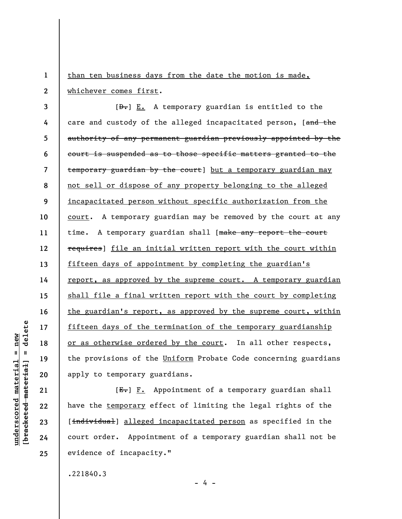than ten business days from the date the motion is made, whichever comes first.

**3 4 5 6 7 8 9 10 11 12 13 14 15 16 17 18 19 20**   $[D<sub>1</sub>] E.$  A temporary guardian is entitled to the care and custody of the alleged incapacitated person, [and the authority of any permanent guardian previously appointed by the court is suspended as to those specific matters granted to the temporary guardian by the court] but a temporary guardian may not sell or dispose of any property belonging to the alleged incapacitated person without specific authorization from the court. A temporary guardian may be removed by the court at any time. A temporary guardian shall [make any report the court requires] file an initial written report with the court within fifteen days of appointment by completing the guardian's report, as approved by the supreme court. A temporary guardian shall file a final written report with the court by completing the guardian's report, as approved by the supreme court, within fifteen days of the termination of the temporary guardianship or as otherwise ordered by the court. In all other respects, the provisions of the Uniform Probate Code concerning guardians apply to temporary guardians.

 $[E-] F.$  Appointment of a temporary guardian shall have the temporary effect of limiting the legal rights of the [individual] alleged incapacitated person as specified in the court order. Appointment of a temporary guardian shall not be evidence of incapacity."

- 4 -

.221840.3

delete **[bracketed material] = delete**  $anderscored material = new$ **underscored material = new**  $\mathbf{I}$ bracketed material

**21** 

**22** 

**23** 

**24** 

**25** 

**1**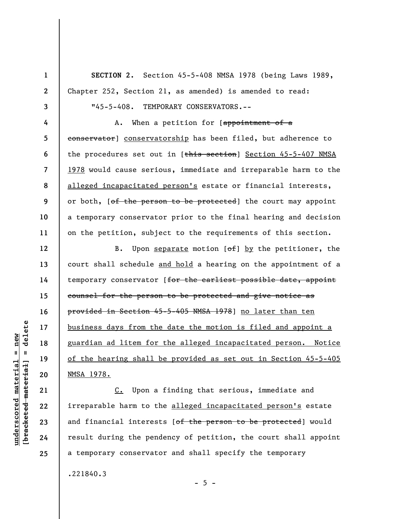**1 2 3 4 5 6 7 8 9 10 11 12 13 14 15 16 17 18 19 20 21 SECTION 2.** Section 45-5-408 NMSA 1978 (being Laws 1989, Chapter 252, Section 21, as amended) is amended to read: "45-5-408. TEMPORARY CONSERVATORS.-- A. When a petition for [appointment of a conservator] conservatorship has been filed, but adherence to the procedures set out in [this section] Section 45-5-407 NMSA 1978 would cause serious, immediate and irreparable harm to the alleged incapacitated person's estate or financial interests, or both, [of the person to be protected] the court may appoint a temporary conservator prior to the final hearing and decision on the petition, subject to the requirements of this section. B. Upon separate motion  $[ $\theta$  +  $\theta$ ] by the *petitioner*, the$ court shall schedule and hold a hearing on the appointment of a temporary conservator [for the earliest possible date, appoint counsel for the person to be protected and give notice as provided in Section 45-5-405 NMSA 1978] no later than ten business days from the date the motion is filed and appoint a guardian ad litem for the alleged incapacitated person. Notice of the hearing shall be provided as set out in Section 45-5-405 NMSA 1978.

C. Upon a finding that serious, immediate and irreparable harm to the alleged incapacitated person's estate and financial interests [of the person to be protected] would result during the pendency of petition, the court shall appoint a temporary conservator and shall specify the temporary

 $- 5 -$ 

.221840.3

 $=$  delete **[bracketed material] = delete**  $anderscored material = new$ **underscored material = new** bracketed material

**22** 

**23** 

**24**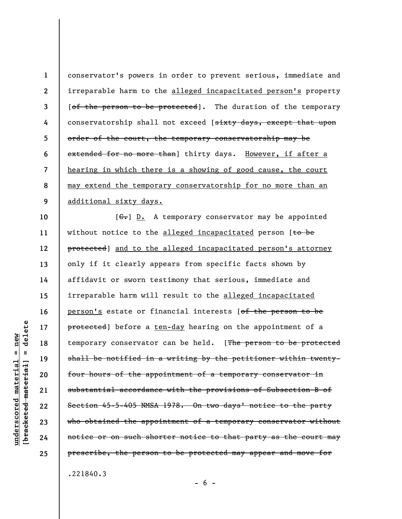**1 2 3 4 5 6 7 8 9**  conservator's powers in order to prevent serious, immediate and irreparable harm to the alleged incapacitated person's property [of the person to be protected]. The duration of the temporary conservatorship shall not exceed [sixty days, except that upon order of the court, the temporary conservatorship may be extended for no more than] thirty days. However, if after a hearing in which there is a showing of good cause, the court may extend the temporary conservatorship for no more than an additional sixty days.

**10 11 12 13 14 15 16 17 18 19 20 21 22 23 24 25**  [ $C$ .] D. A temporary conservator may be appointed without notice to the alleged incapacitated person [to be protected] and to the alleged incapacitated person's attorney only if it clearly appears from specific facts shown by affidavit or sworn testimony that serious, immediate and irreparable harm will result to the alleged incapacitated person's estate or financial interests [of the person to be protected] before a ten-day hearing on the appointment of a temporary conservator can be held. [The person to be protected shall be notified in a writing by the petitioner within twentyfour hours of the appointment of a temporary conservator in substantial accordance with the provisions of Subsection B of Section 45-5-405 NMSA 1978. On two days' notice to the party who obtained the appointment of a temporary conservator without notice or on such shorter notice to that party as the court may prescribe, the person to be protected may appear and move for

.221840.3

delete **[bracketed material] = delete** inderscored material = new **underscored material = new**  $\mathbf{I}$ bracketed material

 $- 6 -$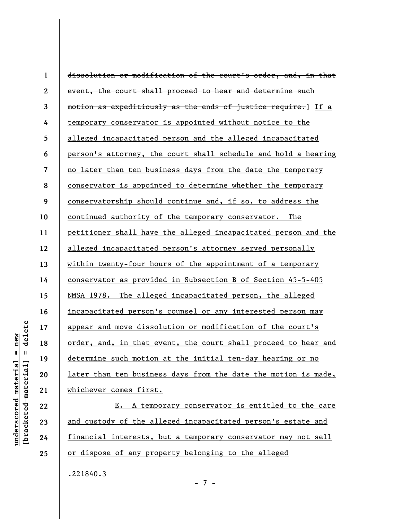| $\mathbf 1$              | dissolution or modification of the court's order, and, in that |
|--------------------------|----------------------------------------------------------------|
| $\boldsymbol{2}$         | event, the court shall proceed to hear and determine such      |
| $\mathbf{3}$             | motion as expeditiously as the ends of justice require.] If a  |
| 4                        | temporary conservator is appointed without notice to the       |
| 5                        | alleged incapacitated person and the alleged incapacitated     |
| 6                        | person's attorney, the court shall schedule and hold a hearing |
| $\overline{\phantom{a}}$ | no later than ten business days from the date the temporary    |
| 8                        | conservator is appointed to determine whether the temporary    |
| 9                        | conservatorship should continue and, if so, to address the     |
| 10                       | continued authority of the temporary conservator. The          |
| 11                       | petitioner shall have the alleged incapacitated person and the |
| 12                       | alleged incapacitated person's attorney served personally      |
| 13                       | within twenty-four hours of the appointment of a temporary     |
| 14                       | conservator as provided in Subsection B of Section 45-5-405    |
| 15                       | NMSA 1978. The alleged incapacitated person, the alleged       |
| 16                       | incapacitated person's counsel or any interested person may    |
| 17                       | appear and move dissolution or modification of the court's     |
| 18                       | order, and, in that event, the court shall proceed to hear and |
| 19                       | determine such motion at the initial ten-day hearing or no     |
| 20                       | later than ten business days from the date the motion is made, |
| 21                       | whichever comes first.                                         |

E. A temporary conservator is entitled to the care and custody of the alleged incapacitated person's estate and financial interests, but a temporary conservator may not sell or dispose of any property belonging to the alleged

.221840.3

[bracketed material] = delete **[bracketed material] = delete**  $underscored material = new$ **underscored material = new**

**22** 

**23** 

**24**